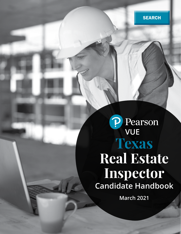# P Pearson **Texas Real Estate Inspector Candidate Handbook**

**March 2021**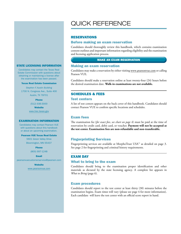#### STATE LICENSING INFORMATION

Candidates may contact the Texas Real Estate Commission with questions about obtaining or maintaining a license after the examination has been passed.

#### Texas Real Estate Commission

*Stephen F. Austin Building* 1700 N. Congress Ave., Suite 400 Austin, TX 78701

Phone

(512) 936-3000

**Website** 

www.trec.texas.gov

#### EXAMINATION INFORMATION

Candidates may contact Pearson VUE with questions about this handbook or about an upcoming examination.

#### Pearson VUE Texas Real Estate

5601 Green Valley Drive Bloomington, MN 55437

> Phone (800) 997-1248

# Email

pearsonvuecustomerservice@pearson.com

**Website** www.pearsonvue.com

# QUICK REFERENCE

# RESERVATIONS

# Before making an exam reservation

Candidates should thoroughly review this handbook, which contains examination content outlines and important information regarding eligibility and the examination and licensing application process.

## MAKE AN EXAM RESERVATION

# Making an exam reservation

Candidates may make a reservation by either visiting www.pearsonvue.com or calling Pearson VUE.

Candidates should make a reservation online at least twenty-four (24) hours before the desired examination date. **Walk-in examinations are not available.**

# SCHEDULES & FEES

## Test centers

A list of test centers appears on the back cover of this handbook. Candidates should contact Pearson VUE to confirm specific locations and schedules.

#### Exam fees

The examination fee (*for exact fees, see chart on page 4*) must be paid at the time of reservation by credit card, debit card, or voucher. **Payment will not be accepted at the test center. Examination fees are non-refundable and non-transferable.**

#### Fingerprinting Services

Fingerprinting services are available at MorphoTrust USA™ as detailed on page 3. See page 2 for fingerprinting and criminal history requirements.

#### EXAM DAY

#### What to bring to the exam

Candidates should bring to the examination proper identification and other materials as dictated by the state licensing agency. A complete list appears in *What to Bring* (page 6).

#### Exam procedures

Candidates should report to the test center at least thirty (30) minutes before the examination begins. Exam times will vary (please see page 4 for more information). Each candidate will leave the test center with an official score report in hand.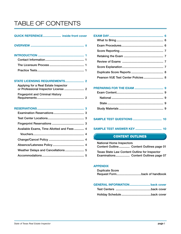# TABLE OF CONTENTS

# QUICK REFERENCE...................... inside front cover

INTRODUCTION ........................................................ 1 Contact Information............................................... 1 The Licensure Process .......................................... 1 Practice Tests......................................................... 1

#### STATE LICENSING REQUIREMENTS....................... 2

| Applying for a Real Estate Inspector    |  |
|-----------------------------------------|--|
| <b>Fingerprint and Criminal History</b> |  |

# RESERVATIONS......................................................... 3

| Available Exams, Time Allotted and Fees  4 |  |
|--------------------------------------------|--|
|                                            |  |
|                                            |  |
|                                            |  |
|                                            |  |
|                                            |  |

| Pearson VUE Test Center Policies 8 |  |
|------------------------------------|--|

# SAMPLE TEST QUESTIONS ................................... 10

#### Content of the content CONTENT OUTLINES

| <b>National Home Inspectors</b>                      |                                          |  |  |  |
|------------------------------------------------------|------------------------------------------|--|--|--|
|                                                      | Content Outline Content Outlines page 01 |  |  |  |
| <b>Texas State Law Content Outline for Inspector</b> |                                          |  |  |  |
|                                                      | Examinations Content Outlines page 07    |  |  |  |

#### APPENDIX

Duplicate Score Request Form..............................back of handbook

#### GENERAL INFORMATION.........................back cover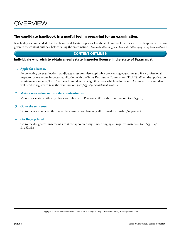# OVERVIEW

# The candidate handbook is a useful tool in preparing for an examination.

It is highly recommended that the Texas Real Estate Inspector Candidate Handbook be reviewed, with special attention given to the content outlines, before taking the examination. (*Content outlines begin on Content Outlines page 01 of this handbook.*)

# CONTENT OUTLINES

#### Individuals who wish to obtain a real estate inspector license in the state of Texas must:

#### **1. Apply for a license.**

Before taking an examination, candidates must complete applicable prelicensing education and file a professional inspector or real estate inspector application with the Texas Real Estate Commission (TREC). When the application requirements are met, TREC will send candidates an eligibility letter which includes an ID number that candidates will need to register to take the examination. *(See page 2 for additional details.)*

#### **2. Make a reservation and pay the examination fee.**

Make a reservation either by phone or online with Pearson VUE for the examination. (*See page 3.*)

#### **3. Go to the test center.**

Go to the test center on the day of the examination, bringing all required materials. (*See page 6.*)

#### **4. Get fingerprinted.**

Go to the designated fingerprint site at the appointed day/time, bringing all required materials. (*See page 3 of handbook.*)

*Copyright © 2021 Pearson Education, Inc. or its affiliate(s). All Rights Reserved. Pubs\_Orders@pearson.com*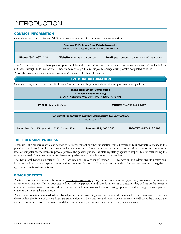# **INTRODUCTION**

# CONTACT INFORMATION

Candidates may contact Pearson VUE with questions about this handbook or an examination.

| <b>Pearson VUE/Texas Real Estate Inspector</b><br>5601 Green Valley Dr., Bloomington, MN 55437                            |  |  |  |  |
|---------------------------------------------------------------------------------------------------------------------------|--|--|--|--|
| <b>Email:</b> pearsonvuecustomerservice@pearson.com<br><b>Phone:</b> (800) 997-1248<br><b>Website:</b> www.pearsonvue.com |  |  |  |  |

Live Chat is available to address your support inquiries and is the quickest way to reach a customer service agent. It's available from 8:00 AM through 5:00 PM Central Time, Monday through Friday, subject to change during locally designated holidays.

Please visit www.pearsonvue.com/tx/inspectors/contact for further information.

# LIVE CHAT INFORMATION

Candidates may contact the Texas Real Estate Commission with questions about obtaining or maintaining a license.

| <b>Texas Real Estate Commission</b><br><b>Stephen F. Austin Building</b><br>1700 N. Congress Ave. Suite 400, Austin, TX 78701 |  |                              |                                |  |
|-------------------------------------------------------------------------------------------------------------------------------|--|------------------------------|--------------------------------|--|
| <b>Phone:</b> (512) 936-3000<br><b>Website:</b> www.trec.texas.gov                                                            |  |                              |                                |  |
| For Digital Fingerprints contact MorphoTrust for verification.<br>MorphoTrust. USA <sup>™</sup>                               |  |                              |                                |  |
| <b>hours:</b> Monday - Friday, 8 AM - 5 PM Central Time                                                                       |  | <b>Phone:</b> (888) 467-2080 | <b>TDD/TTY:</b> (877) 219-0199 |  |

# THE LICENSURE PROCESS

Licensure is the process by which an agency of state government or other jurisdiction grants permission to individuals to engage in the practice of, and prohibits all others from legally practicing, a particular profession, vocation, or occupation. By ensuring a minimum level of competence, the licensure process protects the general public. The state regulatory agency is responsible for establishing the acceptable level of safe practice and for determining whether an individual meets that standard.

The Texas Real Estate Commission (TREC) has retained the services of Pearson VUE to develop and administer its professional inspector and real estate inspector examination program. Pearson VUE is a leading provider of assessment services to regulatory agencies and national associations.

# PRACTICE TESTS

Practice tests are offered exclusively online at www.pearsonvue.com, giving candidates even more opportunity to succeed on real estate inspector examinations. Our practice tests will not only help prepare candidates for the types of questions they will see on the licensure exams but also familiarize them with taking computer-based examinations. However, taking a practice test does not guarantee a positive outcome on the actual examination.

Practice tests contain questions developed by subject matter experts using concepts found in the national licensure examination. The tests closely reflect the format of the real licensure examination, can be scored instantly, and provide immediate feedback to help candidates identify correct and incorrect answers. Candidates can purchase practice tests anytime at www.pearsonvue.com.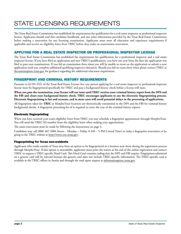# STATE LICENSING REQUIREMENTS

The Texas Real Estate Commission has established the requirements for qualification for a real estate inspector or professional inspector license. Applicants should read this candidate handbook, and any other information provided by the Texas Real Estate Commission before making a reservation for any licensing examination. Applicants must meet all education and experience requirements if applicable and receive an eligibility letter from TREC before they make an examination reservation.

# APPLYING FOR A REAL ESTATE INSPECTOR OR PROFESSIONAL INSPECTOR LICENSE

The Texas Real Estate Commission has established the requirements for qualification for a professional inspector and a real estate inspector license. If you have filed an application and met TREC's qualifications, you have one year from the date the application was filed to pass your examinations. If you fail an examination three times you will be unable to retest on the application or submit a new application until you complete additional qualifying inspector education. Should you fail an exam three times please contact TREC at documents@trec.texas.gov for guidance regarding the additional education requirement.

# FINGERPRINT AND CRIMINAL HISTORY REQUIREMENTS

Pursuant to §1101.3521 of the Texas Real Estate License Act, any person applying for a real estate inspector or professional inspector license must be fingerprinted specifically for TREC and pass a background history check before a license will issue.

**When you pass the examination, your license will not issue until TREC receives your criminal history report from the DPS and the FBI and clears your background history check. TREC encourages applicants to use the electronic fingerprinting process. Electronic fingerprinting is fast and accurate, and in most cases will avoid potential delays in the processing of applications.**

All fingerprints taken for **TREC** at MorphoTrust locations are electronically transmitted to the DPS and the FBI for criminal history background checks. A fingerprint processing fee of is required to cover the cost of the criminal history reports.

### Electronic fingerprinting

When you have received your exam eligibility letter from TREC you may schedule a fingerprint appointment through MorphoTrust. You will need the TREC ID number from the eligibility letter when making your appointment.

The exam reservation must be made by following the instructions on page 3.

Candidates may call (888) 467-2080 (hours – Monday – Friday, 8 AM – 5 PM Central Time) to make a fingerprint reservation or by going to the TREC website at http://www.trec.texas.gov.

### Fingerprinting for Texas non-residents

Applicants who reside outside of Texas may have an option to be fingerprinted in a location near them during the registration process through MorphoTrust. If this option is unavailable, applicants must print the waiver at the end of the online registration and contact TREC to request a TREC-specific Hard Card. This Hard Card contains coding that the DPS and FBI require. Fingerprints submitted on a generic card will be rejected because the generic card does not include TREC-specific information. The TREC-specific card is available at the TREC offices in Austin and through the mail upon request at information@trec.texas.gov.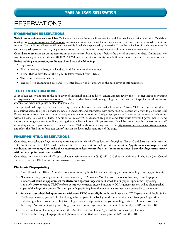# **RESERVATIONS**

# EXAMINATION RESERVATIONS

**Walk-in examinations are not available.** Online reservations are the most efficient way for candidates to schedule their examination. Candidates **must** go to www.pearsonvue.com/tx/inspectors to make an online reservation for an examination. First-time users are required to create an account. The candidate will need to fill in all required fields, which are preceded by an asterisk (\*), on the online form in order to create an ID and be assigned a password. Step-by-step instructions will lead the candidate through the rest of the examination reservation process.

Candidates **must** make an online reservation at least twenty-four (24) hours before the desired examination date. Candidates who wish to make a phone reservation at (800) 997-1248 must do so at least twenty-four (24) hours before the desired examination date.

#### **Before making a reservation, candidates should have the following:**

- Legal name
- Physical mailing address, email address, and daytime telephone number
- TREC-ID# as provided on the eligibility letter received from TREC
- The name of the examination(s)
- The preferred examination date and test center location (a list appears on the back cover of this handbook)

# TEST CENTER LOCATIONS

A list of test centers appears on the back cover of this handbook. In addition, candidates may review the test center locations by going to http://www.pearsonvue.com/vtclocator/. If the candidate has questions regarding the confirmation of specific locations and/or examination schedules, please contact Pearson VUE.

Texas professional inspector and real estate inspector examinations are now available at select Pearson VUE test centers on military installations across the globe. Service members, dependents, and contractors with authorized base access who want to gain Texas Real Estate licensure from their duty station or assignment in another state and foreign deployment will have the option to take their exams without having to leave their base. In addition to Pearson VUE's standard ID policy, candidates must have valid government ID and authorization to gain access to military testing sites. Civilians without valid government ID will be turned away by the test center and/ or military entrance gate security. To locate a Pearson VUE authorized testing center, visit http://www.pearsonvue.com/tx/inspectors/ and select the "Find an on-base test center" link on the lower right-hand side of the page.

### FINGERPRINTING RESERVATIONS

Candidates may schedule fingerprint appointments at any MorphoTrust location throughout Texas. Candidates can only print in TX. Candidates outside of TX need to refer to the TREC instructions for fingerprint submission. **Appointments are required and candidates are encouraged to make their reservation at least twenty-four (24) hours in advance. Same day fingerprint service without an appointment is not available.**

Candidates must contact MorphoTrust to schedule their reservation at (888) 467-2080 (hours are Monday-Friday 8am-5pm Central Time) or visit the TREC website at http://www.trec.texas.gov.

#### Electronic Fingerprinting

- 1. You will need the TREC ID number from your exam eligibility letter when making your electronic fingerprint appointment.
- 2. All electronic fingerprint appointments must be made by DPS' vendor, MorphoTrust. The vendor has many Texas fingerprint locations. **Schedule an appointment for electronic fingerprinting.** You must schedule a fingerprint appointment by calling 1-888-467-2080 or visiting TREC's website at http://www.trec.texas.gov. Pursuant to DPS requirements, you will be photographed as part of the fingerprint process. You must pay a fingerprinting fee to the vendor in a manner that is acceptable to the vendor.
- 3. **Arrive at your scheduled appointment with your TREC exam eligibility letter.** Pursuant to TX Department of Public Safety (DPS) requirements, you will also be photographed as part of the background check requirement. After your fingerprints and photograph are taken, the technician will give you a receipt stating that you were fingerprinted. Do not throw away the receipt. You will not get a printed fingerprint card. Your fingerprints will be sent electronically to DPS and the FBI.
- 4. Upon completion of your appointment, the MorphoTrust Enrollment Agent will furnish a receipt of services. Please save the receipt. Fingerprints and photos are transmitted electronically to the DPS and the FBI.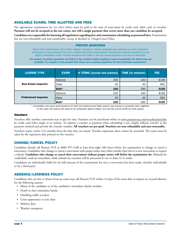# AVAILABLE EXAMS, TIME ALLOTTED AND FEES

The appropriate examination fee (*see chart below*) must be paid at the time of reservation by credit card, debit card, or voucher. **Payment will not be accepted at the test center, nor will a single payment that covers more than one candidate be accepted.**

**Candidates are responsible for knowing all regulations regarding fees and examination scheduling as presented here.** Examination fees are non-refundable and non-transferable, except as detailed in *Change/Cancel Policy*.

#### PRETEST QUESTIONS

Many of the examinations will contain "pretest" questions. Pretest questions are questions on which statistical information is being collected for use in constructing future examinations. Responses to pretest questions do not affect a candidate's score. Pretest questions are mixed in with the scored questions and are not identified.

The number of pretest questions are listed in the content outline heading of each examination for which they are available. If a number is not present then there are no pretest questions for that particular examination.

| <b>LICENSE TYPE</b>           | <b>EXAM</b>     | # ITEMS (scored and pretest) | <b>TIME</b> (in minutes) | <b>FEE</b> |
|-------------------------------|-----------------|------------------------------|--------------------------|------------|
|                               | <b>National</b> | 200                          | 240                      | \$199      |
| <b>Real Estate Inspector</b>  | State           | 30                           | 45                       | \$55       |
|                               | Both*           | 230                          | 285                      | \$199      |
|                               | National        | 200                          | 240                      | \$199      |
| <b>Professional Inspector</b> | State           | 30                           | 45                       | \$55       |
|                               | Both*           | 230                          | 285                      | \$199      |

*\* Candidates who have authorizations for both the National and State exams may choose to schedule them together. In this case, the exams will need to be scheduled "Back to Back" and the fee will be \$199 for both exams.*

#### Vouchers

Vouchers offer another convenient way to pay for tests. Vouchers can be purchased online at www.pearsonvue.com/vouchers/pricelist by credit card either singly or in volume. To redeem a voucher as payment when scheduling a test, simply indicate voucher as the payment method and provide the voucher number. **All vouchers are pre-paid. Vouchers are non-refundable and non-returnable.**

Vouchers expire twelve (12) months from the date they are issued. Voucher expiration dates cannot be extended. The exam must be taken by the expiration date printed on the voucher.

### CHANGE/CANCEL POLICY

Candidates should call Pearson VUE at (800) 997-1248 at least forty-eight (48) hours before the examination to change or cancel a reservation. Candidates who change or cancel a reservation with proper notice may either transfer their fees to a new reservation or request a refund. **Candidates who change or cancel their reservations without proper notice will forfeit the examination fee.** Refunds for credit/debit cards are immediate, while refunds for vouchers will be processed in two to three (2-3) weeks.

Candidates are individually liable for the full amount of the examination fee once a reservation has been made, whether individually or by a third party.

### ABSENCE/LATENESS POLICY

Candidates who are late or absent from an exam may call Pearson VUE within 14 days of the exam date to request an excused absence for the following reasons:

- Illness of the candidate or of the candidate's immediate family member
- Death in their immediate family
- Disabling traffic accident
- Court appearance or jury duty
- Military duty
- Weather emergency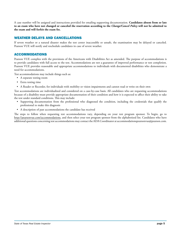A case number will be assigned and instructions provided for emailing supporting documentation. **Candidates absent from or late to an exam who have not changed or canceled the reservation according to the** *Change/Cancel Policy* **will not be admitted to the exam and will forfeit the exam fee.**

# WEATHER DELAYS AND CANCELLATIONS

If severe weather or a natural disaster makes the test center inaccessible or unsafe, the examination may be delayed or canceled. Pearson VUE will notify and reschedule candidates in case of severe weather.

# ACCOMMODATIONS

Pearson VUE complies with the provisions of the Americans with Disabilities Act as amended. The purpose of accommodations is to provide candidates with full access to the test. Accommodations are not a guarantee of improved performance or test completion. Pearson VUE provides reasonable and appropriate accommodations to individuals with documented disabilities who demonstrate a need for accommodations.

Test accommodations may include things such as:

- A separate testing room
- Extra testing time
- A Reader or Recorder, for individuals with mobility or vision impairments and cannot read or write on their own

Test accommodations are individualized and considered on a case-by-case basis. All candidates who are requesting accommodations because of a disability must provide appropriate documentation of their condition and how it is expected to affect their ability to take the test under standard conditions. This may include:

- Supporting documentation from the professional who diagnosed the condition, including the credentials that qualify the professional to make this diagnosis
- A description of past accommodations the candidate has received

The steps to follow when requesting test accommodations vary, depending on your test program sponsor. To begin, go to http://pearsonvue.com/accommodations, and then select your test program sponsor from the alphabetized list. Candidates who have additional questions concerning test accommodations may contact the ADA Coordinator at accommodationspearsonvue@pearson.com.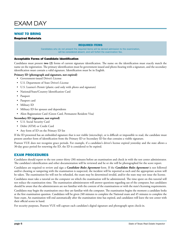

# WHAT TO BRING

Required Materials

#### REQUIRED ITEMS

Candidates who do not present the required items will be denied admission to the examination, will be considered absent, and will forfeit the examination fee.

#### Acceptable Forms of Candidate Identification

Candidates must present **two (2)** forms of current signature identification. The name on the identification must exactly match the name on the registration. The primary identification must be government issued and photo-bearing with a signature, and the secondary identification must contain a valid signature. Identification must be in English.

#### **Primary ID (photograph and signature, not expired)**

- Government-issued Driver's License
- U.S. Department of State Driver's License
- U.S. Learner's Permit (plastic card only with photo and signature)
- National/State/Country Identification Card
- Passport
- Passport card
- Military ID
- Military ID for spouses and dependents
- Alien Registration Card (Green Card, Permanent Resident Visa)

#### **Secondary ID (signature, not expired)**

- U.S. Social Security Card
- Debit (ATM) or Credit Card
- Any form of ID on the Primary ID list

If the ID presented has an embedded signature that is not visible (microchip), or is difficult or impossible to read, the candidate must present another form of identification from the Primary ID or Secondary ID list that contains a visible signature.

Pearson VUE does not recognize grace periods. For example, if a candidate's driver's license expired yesterday and the state allows a 30-day grace period for renewing the ID, the ID is considered to be expired.

### EXAM PROCEDURES

Candidates should report to the test center thirty (30) minutes before an examination and check in with the test center administrator. The candidate's identification and other documentation will be reviewed and he or she will be photographed for the score report.

Candidates are required to review and sign a *Candidate Rules Agreement* form. If the *Candidate Rules Agreement* is not followed and/or cheating or tampering with the examination is suspected, the incident will be reported as such and the appropriate action will be taken. The examination fee will not be refunded, the exam may be determined invalid, and/or the state may not issue the license.

Candidates must take a tutorial on the computer on which the examination will be administered. The time spent on this tutorial will not reduce the examination time. The examination administrators will answer questions regarding use of the computer, but candidates should be aware that the administrators are not familiar with the content of the examinations or with the state's licensing requirements.

Candidates may begin the examination once they are familiar with the computer. The examination begins the moment a candidate looks at the first examination question. Candidates will be given 240 minutes to complete the National exam and 45 minutes to complete the State exam. An examination will end automatically after the examination time has expired, and candidates will leave the test center with their official scores in hand.

For security purposes, Pearson VUE will capture each candidate's digital signature and photograph upon check-in.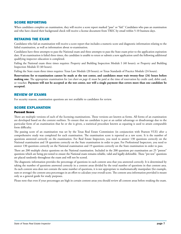### SCORE REPORTING

When candidates complete an examination, they will receive a score report marked "pass" or "fail." Candidates who pass an examination and who have cleared their background check will receive a license document from TREC by email within 5-10 business days.

# RETAKING THE EXAM

Candidates who fail an examination will receive a score report that includes a numeric score and diagnostic information relating to the failed examination, as well as information about re-examination.

Candidates have three attempts to pass the National exam and three attempts to pass the State exam prior to the application expiration date. If an examination is failed three times, the candidate is unable to retest or submit a new application until the following additional qualifying inspector education is completed.

Failing the National exam three times requires: Property and Building Inspection Module I (40 hours); or Property and Building Inspection Module II (40 hours).

Failing the State exam three times requires: Texas Law Module (20 hours); or Texas Standards of Practice Module (24 hours).

**Reservations for re-examination cannot be made at the test center, and candidates must wait twenty-four (24) hours before making one.** The appropriate examination fee (*see chart on page 4*) must be paid at the time of reservation by credit card, debit card, or voucher. **Payment will not be accepted at the test center, nor will a single payment that covers more than one candidate be accepted.**

### REVIEW OF EXAMS

For security reasons, examination questions are not available to candidates for review.

### SCORE EXPLANATION

#### Percent Score

There are multiple versions of each of the licensing examinations. These versions are known as forms. All forms of an examination are developed based on the content outlines. To ensure that no candidate is put at an unfair advantage or disadvantage due to the particular form of an examination that he or she is given, a statistical procedure known as equating is used to attain comparable form difficulty.

The passing score of an examination was set by the Texas Real Estate Commission (in conjunction with Pearson VUE) after a comprehensive study was completed for each examination. The examination score is reported as a raw score. It is the number of questions answered correctly on the examination. For Real Estate Inspectors, you need to answer 130 questions correctly on the National examination and 18 questions correctly on the State examination in order to pass. For Professional Inspectors, you need to answer 130 questions correctly on the National examination and 19 questions correctly on the State examination in order to pass.

There are 200 multiple choice questions on the National examination. Included in the 200 questions per examination are 25 "pretest" questions which are being pre-tested to ensure the National exam remains reliable, valid and legally-defensible. These "pre-test" questions are placed randomly throughout the exam and will not be scored.

The diagnostic information provides the percentage of questions in each content area that you answered correctly. It is determined by taking the number of questions answered correctly in a content areas divided by the total number of questions in that content area. As each content area does not contain the same number of questions, it is not appropriate to mathematically manipulate (for example, sum or average) the content area percentages in an effort to calculate your overall score. The content area information provided is meant only as a general guide for study purposes.

Please note that even if your percentages are high in certain content areas you should review all content areas before retaking the exam.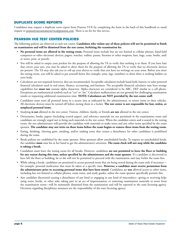# DUPLICATE SCORE REPORTS

Candidates may request a duplicate score report from Pearson VUE by completing the form in the back of this handbook or email request to pearsonvuecustomerservice@pearson.com. There is no fee for this service.

# PEARSON VUE TEST CENTER POLICIES

The following policies are observed at each test center. **Candidates who violate any of these policies will not be permitted to finish an examination and will be dismissed from the test center, forfeiting the examination fee.**

- **No personal items are allowed in the testing room.** Personal items include but are not limited to cellular phones, hand-held computers or other electronic devices, pagers, watches, wallets, purses, firearms or other weapons, hats, bags, coats, books, and/ or notes, pens, or pencils.
- You will be asked to empty your pockets for the purpose of allowing the TA to verify that nothing is in them. If you have hair that covers your ears, you may be asked to show them for the purpose of allowing the TA to verify that no electronic devices are present. The TA may also ask you to roll up your sleeves to verify that you have no writings on your arms. Before you enter the testing room, you will be asked to pat yourself down (for example: arms, legs, waistline) to show there is nothing hidden on your body.
- Calculators are not required; however, they are recommended. Acceptable calculators include hand-held, battery, or solar-powered financial calculators used in real estate, finance, accounting, and business. The acceptable financial calculator may have storage capabilities but **must not** contain alpha characters. Alpha characters are considered to be ABC, DEF similar to a cell phone. Exceptions are mathematical symbols such as "cos" or "sin." Calculator malfunctions are not grounds for challenging examination results or requesting additional examination time. **NOTE: Calculators are NOT provided by the test center staff.**
- Candidates must store all personal items in a secure area as indicated by the administrator, or return items to their vehicles. All electronic devices must be turned off before storing them in a locker. **The test center is not responsible for lost, stolen, or misplaced personal items.**
- Studying **is not** allowed in the test center. Visitors, children, family, or friends **are not** allowed in the test center.
- Dictionaries, books, papers (including scratch paper), and reference materials are not permitted in the examination room and candidates are strongly urged not to bring such materials to the test center. When the candidate enters and is seated in the testing room, the test administrator will provide the candidate with materials to make notes and any other items specified by the exam sponsor. **The candidate may not write on these items before the exam begins or remove these items from the testing room.**
- Eating, drinking, chewing gum, smoking, and/or making noise that creates a disturbance for other candidates is prohibited during the exam.
- Break policies are established by the exam sponsor. Most sponsors allow unscheduled breaks. To request an unscheduled break, the candidate **must** raise his or her hand to get the administrator's attention. **The exam clock will not stop while the candidate is taking a break.**
- Candidates must leave the testing room for all breaks. However, candidates **are not permitted to leave the floor or building for any reason during this time, unless specified by the administrator and the exam sponsor**. If a candidate is discovered to have left the floor or building, he or she will not be permitted to proceed with the examination and may forfeit the exam fees.
- While taking a break, candidates are permitted to access personal items that are being stored during the exam only if necessary for example, personal medication that must be taken at a specific time. **However, a candidate must receive permission from the administrator prior to accessing personal items that have been stored**. Candidates are **not** allowed access to other items, including but not limited to cellular phones, exam notes, and study guides, unless the exam sponsor specifically permits this.
- Any candidate discovered causing a disturbance of any kind or engaging in any kind of misconduct—giving or receiving help; using notes, books, or other aids; taking part in an act of impersonation; or removing examination materials or notes from the examination room—will be summarily dismissed from the examination and will be reported to the state licensing agency. Decisions regarding disciplinary measures are the responsibility of the state licensing agency.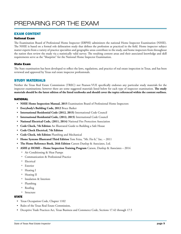# EXAM CONTENT

#### National Exam

The Examination Board of Professional Home Inspector (EBPHI) administers the national Home Inspector Examination (NHIE). The NHIE is based on a formal role delineation study that defines the profession as practiced in the field. Home inspector subject matter experts from a variety of practice specialties and geographic areas contribute to the study, and home inspectors from throughout the nation then review the study via a statistically valid survey. The resulting content areas and their associated knowledge and skill requirements serve as the "blueprint" for the National Home Inspector Examination.

#### State Exam

The State examination has been developed to reflect the laws, regulations, and practice of real estate inspection in Texas, and has been reviewed and approved by Texas real estate inspector professionals.

### STUDY MATERIALS

Neither the Texas Real Estate Commission (TREC) nor Pearson VUE specifically endorses any particular study materials for the inspector examinations; however there are some suggested materials listed below for each type of inspector examination. **The study materials should be the latest edition of the listed textbooks and should cover the topics referenced within the content outlines.**

#### NATIONAL

- **NHIE Home Inspection Manual, 2015** Examination Board of Professional Home Inspectors
- **Everybody's Building Code, 2012** Bruce Barker
- **International Residential Code (2012, 2015)** International Code Council
- **International Residential Code, (2012, 2015)** International Code Council
- **National Electrical Code, (2011, 2014)** National Fire Protection Association
- **Code Check, 7th Edition** An Illustrated Guide to Building a Safe House
- **Code Check Electrical, 7th Edition**
- **Code Check, 4th Edition** Plumbing and Mechanical
- **Home Systems Illustrated Third Edition** Tom Feiza, "Mr. Fix-It," Inc. 2011
- **The Home Reference Book, 26th Edition** Carson Dunlop & Associates, Ltd.
- **ASHI @ HOME Home Inspection Training Program** Carson, Dunlop & Associates 2014
	- ˏ Air Conditioning & Heat Pumps
	- ˏ Communication & Professional Practice
	- <sup>o</sup> Electrical
	- <sup>o</sup> Exterior
	- <sup>o</sup> Heating I
	- <sup>o</sup> Heating II
	- <sup>o</sup> Insulation & Interiors
	- <sup>o</sup> Plumbing
	- <sup>o</sup> Roofing
	- <sup>o</sup> Structure

#### **STATE**

- Texas Occupation Code, Chapter 1102
- Rules of the Texas Real Estate Commission,
- Deceptive Trade Practices Act, Texas Business and Commerce Code, Sections 17.42 through 17.5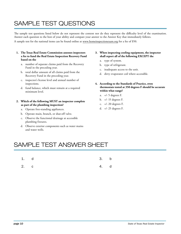# SAMPLE TEST QUESTIONS

The sample test questions listed below do not represent the content nor do they represent the difficulty level of the examination. Answer each question to the best of your ability and compare your answer to the Answer Key that immediately follows. A sample test for the national items can be found online at www.homeinspectionexam.org for a fee of \$50.

- **1. The Texas Real Estate Commission assesses inspectors a fee to fund the Real Estate Inspection Recovery Fund based on the**
	- a. number of separate claims paid from the Recovery Fund in the preceding year.
	- b. total dollar amount of all claims paid from the Recovery Fund in the preceding year.
	- c. inspector's license level and annual number of inspections.
	- d. fund balance, which must remain at a required minimum level.
- **2. Which of the following MUST an inspector complete as part of the plumbing inspection?**
	- a. Operate free-standing appliances.
	- b. Operate main, branch, or shut-off valve.
	- c. Observe the functional drainage at accessible plumbing fixtures.
	- d. Observe exterior components such as water mains and water wells.
- **3. When inspecting cooling equipment, the inspector shall report all of the following EXCEPT the**
	- a. type of system.
	- b. type of refrigerant.
	- c. inadequate access to the unit.
	- d. dirty evaporator coil where accessible.
- **4. According to the Standards of Practice, oven thermostats tested at 350 degrees F should be accurate within what range?**
	- a. +/- 5 degrees F.
	- b. +/- 15 degrees F.
	- c. +/- 20 degrees F.
	- d. +/- 25 degrees F.

# SAMPLE TEST ANSWER SHEET

- 1. d 3. b
- 2. c 4. d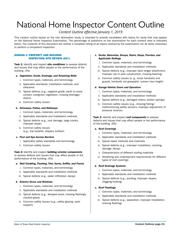# National Home Inspector Content Outline

# *Content Outline effective January 1, 2019*

This content outline based on the role delineation study, is intended to provide candidates with topics for study that may appear on the National Home Inspector Examination. The percentage of questions on the examination for each content area is indicated below. The contents of this document are neither a complete listing of all topics covered by the examination nor all skills necessary to perform a competent inspection.

#### DOMAIN 1: PROPERTY AND BUILDING INSPECTION/SITE REVIEW (63%)

Task 1: Identify and inspect site conditions to assess defects and issues that may affect people or the performance of the building. (5%)

#### *a. Vegetation, Grade, Drainage, and Retaining Walls*

- i. Common types, materials, and terminology
- ii. Applicable standards, installation methods, and clearance
- iii. Typical defects (e.g., negative grade, earth to wood contact, overgrown vegetation, missing drainage/ drains)
- iv. Common safety issues

#### *b. Driveways, Patios, and Walkways*

- i. Common types, materials, and terminology
- ii. Applicable standards and installation methods
- iii. Typical defects (e.g., root damage, large cracks, improper slope)
- iv. Common safety issues (e.g., trip hazards, slippery surface)

#### *c. Pool and Spa Access Barriers*

- i. Applicable safety standards and terminology
- ii. Common safety issues

Task 2: Identify and inspect building exterior components to assess defects and issues that may affect people or the performance of the building. (5%)

#### *a. Wall Cladding, Flashing, Trim, Eaves, Soffits, and Fascia*

- i. Common types, materials, and terminology
- ii. Applicable standards and installation methods
- iii. Typical defects (e.g., water infiltration, decay)

#### *b. Exterior Doors and Windows*

- i. Common types, materials, and terminology
- ii. Applicable standards and installation methods
- iii. Typical defects (e.g., decayed wood, missing flashings, cracked glass)
- iv. Common safety issues (e.g., safety glazing, sash support)

#### *c. Decks, Balconies, Stoops, Stairs, Steps, Porches, and Applicable Railings*

- i. Common types, materials, and terminology
- ii. Applicable standards and installation methods
- iii. Typical defects (e.g., improper deck ledger attachment, improper rail or stair construction, missing flashing)
- iv. Common safety issues (e. g., loose handrails and guards, handrails not graspable, uneven riser height)

#### *d. Garage Vehicle Doors and Operators*

- i. Common types, materials, and terminology
- ii. Applicable standards and installation methods
- iii. Typical defects (e.g., damaged rollers, broken springs)
- iv. Common safety issues (e.g., missing/failing/ malfunctioning safety sensors, improper adjustment of pressure reverse)

#### Task 3: Identify and inspect roof components to assess defects and issues that may affect people or the performance of the building. (6%)

#### *a. Roof Coverings*

- i. Common types, materials, and terminology
- ii. Applicable standards and installation methods
- iii. Typical repair methods and materials
- iv. Typical defects (e.g., improper installation, cracking, damage, decay)
- v. Characteristics of different roofing materials
- vi. Sheathing and underlayment requirements for different types of roof coverings

#### *b. Roof Drainage Systems*

- i. Common types, materials, and terminology
- ii. Applicable standards and installation methods
- iii. Typical defects (e.g., ponding, improper slopes, clogging/leaking)

#### *c. Roof Flashings*

- i. Common types, materials, and terminology
- ii. Applicable standards and installation methods
- iii. Typical defects (e.g., separation, improper installation, missing flashing)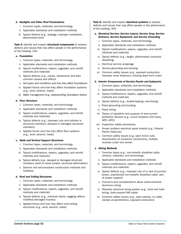#### *d. Skylights and Other Roof Penetrations*

- i. Common types, materials, and terminology
- ii. Applicable standards and installation methods
- iii. Typical defects (e.g., leakage, improper installation, deteriorated boot)

Task 4: Identify and inspect structural components to assess defects and issues that may affect people or the performance of the building. (4%)

#### *a. Foundation*

- i. Common types, materials, and terminology
- ii. Applicable standards and installation methods
- iii. Typical modifications, repairs, upgrades, and retrofit methods and materials
- iv. Typical defects (e.g., cracks, settlement) and their common causes and effects
- v. Soil types and conditions and how they affect foundations
- vi. Applied forces and how they affect foundation systems (e.g., wind, seismic, loads)
- vii. Water management (e.g., waterproofing, foundation drains)

#### *b. Floor Structure*

- i. Common types, materials, and terminology
- ii. Applicable standards and installation methods
- iii. Typical modifications, repairs, upgrades, and retrofit methods and materials
- iv. Typical defects (e.g., improper cuts and notches in structural members, decayed or damaged structural members)
- v. Applied forces and how they affect floor systems (e.g., wind, seismic, loads)

#### *c. Walls and Vertical Support Structures*

- i. Common types, materials, and terminology
- ii. Applicable standards and installation methods
- iii. Typical modifications, repairs, upgrades, and retrofit methods and materials
- iv. Typical defects (e.g., decayed or damaged structural members, earth to wood contact, structural deformation)
- v. Seismic and wind-resistant construction methods and hardware

#### *d. Roof and Ceiling Structures*

- i. Common types, materials, and terminology
- ii. Applicable standards and installation methods
- iii. Typical modifications, repairs, upgrades, and retrofit methods and materials
- iv. Typical defects (e.g., moisture stains, sagging rafters, modified/damaged trusses)
- v. Applied forces and how they affect roof/ceiling structures (e.g., wind, seismic, loads)

Task 5: Identify and inspect electrical systems to assess defects and issues that may affect people or the performance of the building. (6%)

#### *a. Electrical Service: Service Lateral, Service Drop, Service Entrance, Service Equipment, and Service Grounding*

- i. Common types, materials, and terminology
- ii. Applicable standards and installation methods
- iii. Typical modifications, repairs, upgrades, and retrofit methods and materials
- iv. Typical defects (e.g., height, deteriorated conductor sheathing)
- v. Electrical service amperage
- vi. Service grounding and bonding
- vii. Common safety issues (e.g., exposed conductors, improper cover fasteners, missing dead front cover)

#### *b. Interior Components of Service Panels and Subpanels*

- i. Common types, materials, and terminology
- ii. Applicable standards and installation methods
- iii. Typical modifications, repairs, upgrades, and retrofit methods and materials
- iv. Typical defects (e.g., double-tapping, over-fusing)
- v. Panel grounding and bonding
- vi. Panel wiring
- vii. Theory of operation and purpose of over-current protection devices (e.g., circuit breakers and fuses, GFCI, AFCI)
- viii. Inspection safety procedures
- ix. Known problem electrical panel boards (e.g., Federal Pacific/Stab-Lok)
- x. Common safety issues (e.g. open knock outs, discoloration at conductor connections, multiple neutrals under one screw)

#### *c. Wiring Methods*

- i. Common types (e.g., non-metallic sheathed cable, conduit), materials, and terminology
- ii. Applicable standards and installation methods
- iii. Typical modifications, repairs, upgrades, and retrofit methods and materials
- iv. Typical defects (e.g., improper use of or lack of junction boxes, unprotected non-metallic sheathed cable, lack of proper support)
- v. Concerns and considerations about solid-conductor aluminum wiring
- vi. Obsolete electrical wiring system (e.g., knob and tube wiring, cloth-covered NM cable)
- vii. Common safety issues (e.g., open splices, no cable clamps at penetrations, exposed conductors)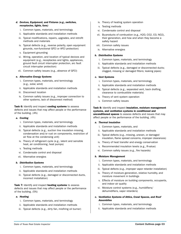- *d. Devices, Equipment, and Fixtures (e.g., switches, receptacles, lights, fans)*
	- i. Common types, materials, and terminology
	- ii. Applicable standards and installation methods
	- iii. Typical modifications, repairs, upgrades, and retrofit methods and materials
	- iv. Typical defects (e.g., reverse polarity, open equipment grounds, non-functional GFCI or AFCI protection)
	- v. Equipment grounding
	- vi. Wiring, operation, and location of typical devices and equipment (e.g., receptacles and lights, appliances, ground fault circuit interrupter protection, arc fault circuit interrupter protection)
	- vii. Common safety issues (e.g., absence of GFCI)

#### *e. Alternative Energy Systems*

- i. Common types, materials, and terminology (e.g., solar, wind)
- ii. Applicable standards and installation methods
- iii. Disconnect location
- iv. Common safety issues (e.g., improper connection to other systems, lack of disconnect method)

Task 6: Identify and inspect cooling systems to assess defects and issues that may affect people or the performance of the building. (4%)

#### *a. Cooling*

- i. Common types, materials, and terminology
- ii. Applicable standards and installation methods
- iii. Typical defects (e.g., suction line insulation missing, condensation and/or rust on components, restriction of air flow at the condensing unit)
- iv. Theory of refrigerant cycle (e.g., latent and sensible heat, air conditioning, heat pumps)
- v. Testing methods
- vi. Condensate control and disposal
- vii. Alternative energies

#### *b. Distribution Systems*

- i. Common types, materials, and terminology
- ii. Applicable standards and installation methods
- iii. Typical defects (e.g., damaged or disconnected ducts, incorrect installation)

Task 7: Identify and inspect heating systems to assess defects and issues that may affect people or the performance of the building. (5%)

#### *a. Heating*

- i. Common types, materials, and terminology
- ii. Applicable standards and installation methods
- iii. Typical defects (e.g., dirty fan, misfiring oil burner)
- iv. Theory of heating system operation
- v. Testing methods
- vi. Condensate control and disposal
- vii. By-products of combustion (e.g., H2O, CO2, CO, NO2), their generation, and how and when they become a safety hazard
- viii. Common safety issues
- ix. Alternative energies

#### *b. Distribution Systems*

- i. Common types, materials, and terminology
- ii. Applicable standards and installation methods
- iii. Typical defects (e.g., damaged or disconnected ducts; clogged, missing or damaged filters; leaking pipes)

#### *c. Vent Systems*

- i. Common types, materials, and terminology
- ii. Applicable standards and installation methods
- iii. Typical defects (e.g., separated vent, back drafting, clearance to combustible materials)
- iv. Theory of vent system operation
- v. Common safety issues

Task 8: Identify and inspect insulation, moisture management systems, and ventilation systems in conditioned and unconditioned spaces to assess defects and issues that may affect people or the performance of the building. (4%)

#### *a. Thermal Insulation*

- i. Common types, materials, and
- ii. Applicable standards and installation methods
- iii. Typical defects (e.g., missing, uneven, or damaged insulation, flame spread concerns, improper clearances)
- iv. Theory of heat transfer and energy conservation
- v. Recommended insulation levels (e.g., R-value)
- vi. Common safety issues (e.g., fire hazards)

#### *b. Moisture Management*

- i. Common types, materials, and terminology
- ii. Applicable standards and installation methods
- iii. Typical defects (e.g., improper vapor retarder installation)
- iv. Theory of moisture generation, relative humidity, and moisture movement in buildings
- v. Effects of moisture on building components, occupants, and indoor air quality
- vi. Moisture control systems (e.g., humidifiers/ dehumidifiers, vapor retarders)
- *c. Ventilation Systems of Attics, Crawl Spaces, and Roof Assemblies*
	- i. Common types, materials, and terminology
	- ii. Applicable standards and installation methods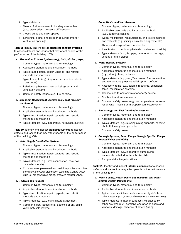- iii. Typical defects
- iv. Theory of air movement in building assemblies (e.g., stack effect, pressure differences)
- v. Closed attics and crawl spaces
- vi. Screening, sizing, and location requirements for ventilation openings

#### Task 9: Identify and inspect mechanical exhaust systems

to assess defects and issues that may affect people or the performance of the building. (5%)

#### *a. Mechanical Exhaust Systems (e.g., bath, kitchen, dryer)*

- i. Common types, materials, and terminology
- ii. Applicable standards and installation methods
- iii. Typical modification, repair, upgrade, and retrofit methods and materials
- iv. Typical defects (e.g., improper termination, plastic dryer ducts)
- v. Relationship between mechanical systems and ventilation systems
- vi. Common safety issues (e.g., fire hazards)

#### *b. Indoor Air Management Systems (e.g., heat recovery ventilators)*

- i. Common types, materials, and terminology
- ii. Applicable standards and installation methods
- iii. Typical modification, repair, upgrade, and retrofit methods and materials
- iv. Typical defects (e.g., inoperative, no bypass ducting)

Task 10: Identify and inspect plumbing systems to assess defects and issues that may affect people or the performance of the building. (5%)

#### *a. Water Supply Distribution System*

- i. Common types, materials, and terminology
- ii. Applicable standards and installation methods
- iii. Typical modification, repair, upgrade, and retrofit methods and materials
- iv. Typical defects (e.g., cross-connection, back flow, dissimilar metals)
- v. Common water pressure/functional flow problems and how they affect the water distribution system (e.g., hard water build-up, old galvanized piping, pressure reducer valves)

#### *b. Fixtures and Faucets*

- i. Common types, materials, and terminology
- ii. Applicable standards and installation methods
- iii. Typical modification, repair, upgrade, and retrofit methods and materials
- iv. Typical defects (e.g., leaks, fixture attachment
- v. Common safety issues (e.g., absence of anti-scald valve, hot/cold reverse)

#### *c. Drain, Waste, and Vent Systems*

- i. Common types, materials, and terminology
- ii. Applicable standards and installation methods (e.g., supports/spacing)
- iii. Typical modification, repair, upgrade, and retrofit methods and materials (e.g., joining dissimilar piping materials)
- iv. Theory and usage of traps and vents
- v. Identification of public or private disposal (when possible)
- vi. Typical defects (e.g., flex pipe, deterioration, leakage, venting or drain slope)

#### *d. Water Heating Systems*

- i. Common types, materials, and terminology
- ii. Applicable standards and installation methods (e.g., storage tank, tankless)
- iii. Typical defects (e.g., vent/flue issues, fuel connection and temperature pressure relief system defects)
- iv. Accessory items (e.g., seismic restraints, expansion tanks, recirculation systems)
- v. Connections to and controls for energy source
- vi. Combustion air requirements
- vii. Common safety issues (e.g., no temperature pressure relief valve, missing or improperly connected vents)

#### *e. Fuel Storage and Fuel Distribution Systems*

- i. Common types, materials, and terminology
- ii. Applicable standards and installation methods
- iii. Typical defects (e.g., missing piping supports, missing shut-off, leaking storage tank)
- iv. Common safety issues

#### *f. Drainage Systems, Sump Pumps, Sewage Ejection Pumps, Related Valves and Piping*

- i. Common types, materials, and terminology
- ii. Applicable standards and installation methods
- iii. Typical defects (e.g., inoperative sump pump, improperly installed system, broken lid)
- iv. Pump and discharge locations

Task 11: Identify and inspect interior components to assess defects and issues that may affect people or the performance of the building. (4%)

- *a. Walls, Ceiling, Floors, Doors, and Windows, and Other Interior System Components*
	- i. Common types, materials, and terminology
	- ii. Applicable standards and installation methods
	- iii. Typical defects in interior surfaces caused by defects in other systems (e.g., structural movement, moisture stains)
	- iv. Typical defects in interior surfaces NOT caused by other systems (e.g., defective operation of doors and windows, damage, absence of safety glazing)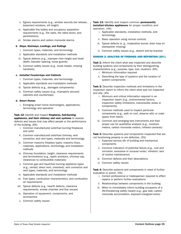- v. Egress requirements (e.g., window security bar release, basement windows, sill height)
- vi. Applicable fire/safety and occupancy separation requirements (e.g., fire walls, fire rated doors, and penetrations)
- vii. Smoke alarms and carbon monoxide alarms

#### *b. Steps, Stairways, Landings, and Railings*

- i. Common types, materials, and terminology
- ii. Applicable standards and installation methods
- iii. Typical defects (e.g., improper riser height and tread depth, baluster spacing, loose guards)
- iv. Common safety issues (e.g., loose treads, missing handrails)

#### *c. Installed Countertops and Cabinets*

- i. Common types, materials, and terminology
- ii. Applicable standards and installation methods
- iii. Typical defects (e.g., damaged components)
- iv. Common safety issues (e.g., improperly secured cabinets and countertops)

#### *d. Smart Homes*

i. Emerging smart home technologies, applications, terminology and operation

#### Task 12: Identify and inspect fireplaces, fuel-burning appliances, and their chimney and vent systems to assess defects and issues that may affect people or the performance

of the building. (6%)

- i. Common manufactured solid-fuel burning fireplaces and solid
- ii. Common manufactured solid-fuel chimney, vent connector, and vent types, materials and terminology
- iii. Common masonry fireplace types, masonry flues, materials, applications, terminology, and installation methods
- iv. Chimney foundation, height, clearance requirements and terminations (e.g., spark arrestors, chimney cap, clearances to combustible materials)
- v. Common gas and liquid-fuel burning appliance types (e.g., vented, direct vent, unvented), vent connector and vent types, materials, and terminology
- vi. Applicable standards and installation methods
- vii. Fuel types, combustion characteristics, and combustion air requirements
- viii. Typical defects (e.g., hearth defects, clearance requirements, smoke chamber and flue issues)
- ix. Operation of equipment, components, and accessories
- x. Common safety issues

#### Task 13: Identify and inspect common permanently installed kitchen appliances for proper condition and operation. (4%)

- i. Applicable standards, installation methods, and terminology
- ii. Basic operation using normal controls
- iii. Typical defects (e. g., inoperative burner, drain loop on dishwasher missing)
- iv. Common safety issues (e.g., absent anti-tip bracket)

#### DOMAIN 2: ANALYSIS OF FINDINGS AND REPORTING (25%)

Task 1: Inform the client what was inspected and describe building systems and components by their distinguishing characteristics (e.g., purpose, type, size, location). (6%)

- i. Minimum information required
- ii. Describing the type of systems and the location of system components

Task 2: Describe inspection methods and limitations in the inspection report to inform the client what was not inspected and why. (4%)

- i. Minimum and critical information required in an inspection report (e.g., environmental factors, inspection safety limitations, inaccessible areas or components)
- ii. Common methods used to inspect particular components (e.g., walk on roof, observe attic or crawl space from hatch)
- iii. Common and emerging test instruments and their proper use for qualitative analysis (e.g., moisture meters, carbon monoxide meters, infrared cameras)

**Task 3:** Describe systems and components inspected that are not functioning properly or are defective. (5%)

- i. Expected service life of building and mechanical components
- ii. Common indicators of potential failure (e.g., rust and corrosion, excessive or unusual noise/ vibration, lack of routine maintenance)
- iii. Common defects and their descriptions
- iv. Common safety issues

Task 4: Describe systems and components in need of further evaluation or action. (5%)

- i. Correct professional or tradesperson required to effect repairs or perform further evaluations
- ii. Relationships between components in the building
- iii. When to immediately inform building occupants of a life-threatening safety hazard (e.g., gas leak, carbon monoxide accumulation, exposed energized wires)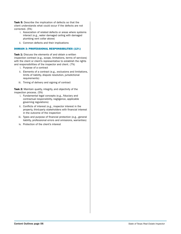Task 5: Describe the implication of defects so that the client understands what could occur if the defects are not corrected. (5%)

- i. Association of related defects or areas where systems interact (e.g., water damaged ceiling with damaged plumbing vent collar above)
- ii. Common defects and their implications

#### DOMAIN 3: PROFESSIONAL RESPONSIBILITIES (12%)

Task 1: Discuss the elements of and obtain a written inspection contract (e.g., scope, limitations, terms of services) with the client or client's representative to establish the rights and responsibilities of the inspector and client. (7%)

- i. Purpose of a contract
- ii. Elements of a contract (e.g., exclusions and limitations, limits of liability, dispute resolution, jurisdictional requirements)
- iii. Timing of delivery and signing of contract

Task 2: Maintain quality, integrity, and objectivity of the inspection process. (5%)

- i. Fundamental legal concepts (e.g., fiduciary and contractual responsibility, negligence, applicable governing regulations)
- ii. Conflicts of interest (e.g., inspector interest in the property, third-party stakeholders with financial interest in the outcome of the inspection
- iii. Types and purpose of financial protection (e.g., general liability, professional errors and omissions, warranties)
- iv. Protection of the client's interest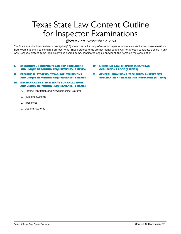# Texas State Law Content Outline for Inspector Examinations

# *Effective Date: September 2, 2014*

The State examination consists of twenty-five (25) scored items for the professional inspector and real estate inspector examinations. Both examinations also contain 5 pretest items. These pretest items are not identified and will not affect a candidate's score in any way. Because pretest items look exactly like scored items, candidates should answer all the items on the examination.

#### I. STRUCTURAL SYSTEMS: TEXAS SOP EXCLUSIONS AND UNIQUE REPORTING REQUIREMENTS (2 ITEMS)

- II. ELECTRICAL SYSTEMS: TEXAS SOP EXCLUSIONS AND UNIQUE REPORTING REQUIREMENTS (3 ITEMS)
- III. MECHANICAL SYSTEMS: TEXAS SOP EXCLUSIONS AND UNIQUE REPORTING REQUIREMENTS (3 ITEMS)
	- A. Heating Ventilation and Air Conditioning Systems
	- B. Plumbing Systems
	- C. Appliances
	- D. Optional Systems

#### IV. LICENSING LAW: CHAPTER 1102, TEXAS OCCUPATIONS CODE (9 ITEMS)

V. GENERAL PROVISIONS: TREC RULES, CHAPTER 535, SUBCHAPTER R – REAL ESTATE INSPECTORS (8 ITEMS)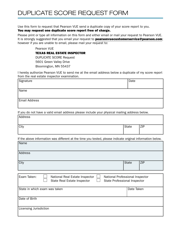Use this form to request that Pearson VUE send a duplicate copy of your score report to you.

# You may request one duplicate score report free of charge.

Please print or type all information on this form and either email or mail your request to Pearson VUE. It is strongly suggested that you email your request to **pearsonvuecustomerservice@pearson.com**; however if you are unable to email, please mail your request to:

Pearson VUE

TEXAS REAL ESTATE INSPECTOR

DUPLICATE SCORE Request

5601 Green Valley Drive

Bloomington, MN 55437

I hereby authorize Pearson VUE to send me at the email address below a duplicate of my score report from the real estate inspector examination.

| Signature            | Date |
|----------------------|------|
|                      |      |
| Name                 |      |
|                      |      |
| <b>Email Address</b> |      |
|                      |      |

If you do not have a valid email address please include your physical mailing address below.

| Address |       |     |
|---------|-------|-----|
|         |       |     |
| City    | State | ZIP |
|         |       |     |

If the above information was different at the time you tested, please indicate original information below.

| Name                                                                                                                                            |              |            |  |
|-------------------------------------------------------------------------------------------------------------------------------------------------|--------------|------------|--|
| Address                                                                                                                                         |              |            |  |
| City                                                                                                                                            | <b>State</b> | <b>ZIP</b> |  |
|                                                                                                                                                 |              |            |  |
| Exam Taken:<br>National Real Estate Inspector<br>National Professional Inspector<br>State Real Estate Inspector<br>State Professional Inspector |              |            |  |
| State in which exam was taken                                                                                                                   | Date Taken   |            |  |
| Date of Birth                                                                                                                                   |              |            |  |
| Licensing Jurisdiction                                                                                                                          |              |            |  |